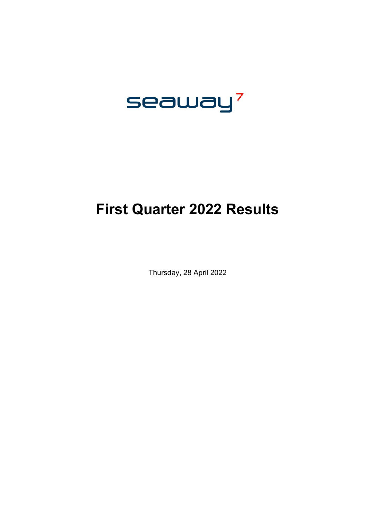

# **First Quarter 2022 Results**

Thursday, 28 April 2022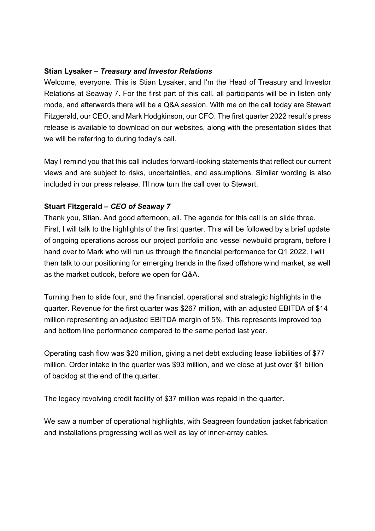# **Stian Lysaker –** *Treasury and Investor Relations*

Welcome, everyone. This is Stian Lysaker, and I'm the Head of Treasury and Investor Relations at Seaway 7. For the first part of this call, all participants will be in listen only mode, and afterwards there will be a Q&A session. With me on the call today are Stewart Fitzgerald, our CEO, and Mark Hodgkinson, our CFO. The first quarter 2022 result's press release is available to download on our websites, along with the presentation slides that we will be referring to during today's call.

May I remind you that this call includes forward-looking statements that reflect our current views and are subject to risks, uncertainties, and assumptions. Similar wording is also included in our press release. I'll now turn the call over to Stewart.

# **Stuart Fitzgerald –** *CEO of Seaway 7*

Thank you, Stian. And good afternoon, all. The agenda for this call is on slide three. First, I will talk to the highlights of the first quarter. This will be followed by a brief update of ongoing operations across our project portfolio and vessel newbuild program, before I hand over to Mark who will run us through the financial performance for Q1 2022. I will then talk to our positioning for emerging trends in the fixed offshore wind market, as well as the market outlook, before we open for Q&A.

Turning then to slide four, and the financial, operational and strategic highlights in the quarter. Revenue for the first quarter was \$267 million, with an adjusted EBITDA of \$14 million representing an adjusted EBITDA margin of 5%. This represents improved top and bottom line performance compared to the same period last year.

Operating cash flow was \$20 million, giving a net debt excluding lease liabilities of \$77 million. Order intake in the quarter was \$93 million, and we close at just over \$1 billion of backlog at the end of the quarter.

The legacy revolving credit facility of \$37 million was repaid in the quarter.

We saw a number of operational highlights, with Seagreen foundation jacket fabrication and installations progressing well as well as lay of inner-array cables.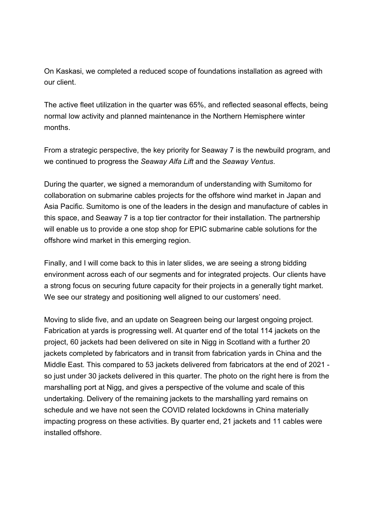On Kaskasi, we completed a reduced scope of foundations installation as agreed with our client.

The active fleet utilization in the quarter was 65%, and reflected seasonal effects, being normal low activity and planned maintenance in the Northern Hemisphere winter months.

From a strategic perspective, the key priority for Seaway 7 is the newbuild program, and we continued to progress the *Seaway Alfa Lift* and the *Seaway Ventus*.

During the quarter, we signed a memorandum of understanding with Sumitomo for collaboration on submarine cables projects for the offshore wind market in Japan and Asia Pacific. Sumitomo is one of the leaders in the design and manufacture of cables in this space, and Seaway 7 is a top tier contractor for their installation. The partnership will enable us to provide a one stop shop for EPIC submarine cable solutions for the offshore wind market in this emerging region.

Finally, and I will come back to this in later slides, we are seeing a strong bidding environment across each of our segments and for integrated projects. Our clients have a strong focus on securing future capacity for their projects in a generally tight market. We see our strategy and positioning well aligned to our customers' need.

Moving to slide five, and an update on Seagreen being our largest ongoing project. Fabrication at yards is progressing well. At quarter end of the total 114 jackets on the project, 60 jackets had been delivered on site in Nigg in Scotland with a further 20 jackets completed by fabricators and in transit from fabrication yards in China and the Middle East. This compared to 53 jackets delivered from fabricators at the end of 2021 so just under 30 jackets delivered in this quarter. The photo on the right here is from the marshalling port at Nigg, and gives a perspective of the volume and scale of this undertaking. Delivery of the remaining jackets to the marshalling yard remains on schedule and we have not seen the COVID related lockdowns in China materially impacting progress on these activities. By quarter end, 21 jackets and 11 cables were installed offshore.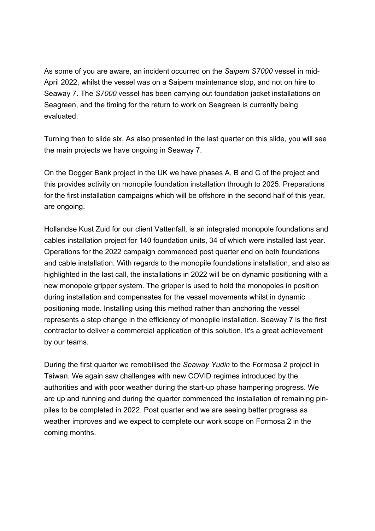As some of you are aware, an incident occurred on the *Saipem S7000* vessel in mid-April 2022, whilst the vessel was on a Saipem maintenance stop, and not on hire to Seaway 7. The *S7000* vessel has been carrying out foundation jacket installations on Seagreen, and the timing for the return to work on Seagreen is currently being evaluated.

Turning then to slide six. As also presented in the last quarter on this slide, you will see the main projects we have ongoing in Seaway 7.

On the Dogger Bank project in the UK we have phases A, B and C of the project and this provides activity on monopile foundation installation through to 2025. Preparations for the first installation campaigns which will be offshore in the second half of this year, are ongoing.

Hollandse Kust Zuid for our client Vattenfall, is an integrated monopole foundations and cables installation project for 140 foundation units, 34 of which were installed last year. Operations for the 2022 campaign commenced post quarter end on both foundations and cable installation. With regards to the monopile foundations installation, and also as highlighted in the last call, the installations in 2022 will be on dynamic positioning with a new monopole gripper system. The gripper is used to hold the monopoles in position during installation and compensates for the vessel movements whilst in dynamic positioning mode. Installing using this method rather than anchoring the vessel represents a step change in the efficiency of monopile installation. Seaway 7 is the first contractor to deliver a commercial application of this solution. It's a great achievement by our teams.

During the first quarter we remobilised the *Seaway Yudin* to the Formosa 2 project in Taiwan. We again saw challenges with new COVID regimes introduced by the authorities and with poor weather during the start-up phase hampering progress. We are up and running and during the quarter commenced the installation of remaining pinpiles to be completed in 2022. Post quarter end we are seeing better progress as weather improves and we expect to complete our work scope on Formosa 2 in the coming months.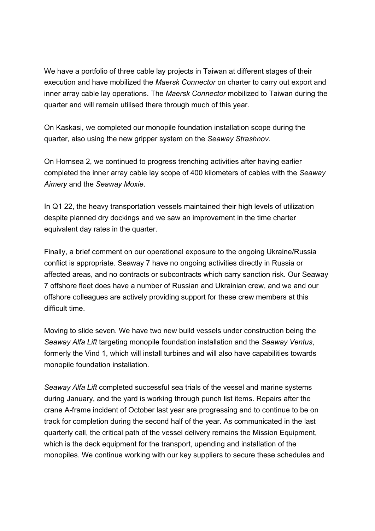We have a portfolio of three cable lay projects in Taiwan at different stages of their execution and have mobilized the *Maersk Connector* on charter to carry out export and inner array cable lay operations. The *Maersk Connector* mobilized to Taiwan during the quarter and will remain utilised there through much of this year.

On Kaskasi, we completed our monopile foundation installation scope during the quarter, also using the new gripper system on the *Seaway Strashnov*.

On Hornsea 2, we continued to progress trenching activities after having earlier completed the inner array cable lay scope of 400 kilometers of cables with the *Seaway Aimery* and the *Seaway Moxie*.

In Q1 22, the heavy transportation vessels maintained their high levels of utilization despite planned dry dockings and we saw an improvement in the time charter equivalent day rates in the quarter.

Finally, a brief comment on our operational exposure to the ongoing Ukraine/Russia conflict is appropriate. Seaway 7 have no ongoing activities directly in Russia or affected areas, and no contracts or subcontracts which carry sanction risk. Our Seaway 7 offshore fleet does have a number of Russian and Ukrainian crew, and we and our offshore colleagues are actively providing support for these crew members at this difficult time.

Moving to slide seven. We have two new build vessels under construction being the *Seaway Alfa Lift* targeting monopile foundation installation and the *Seaway Ventus*, formerly the Vind 1, which will install turbines and will also have capabilities towards monopile foundation installation.

*Seaway Alfa Lift* completed successful sea trials of the vessel and marine systems during January, and the yard is working through punch list items. Repairs after the crane A-frame incident of October last year are progressing and to continue to be on track for completion during the second half of the year. As communicated in the last quarterly call, the critical path of the vessel delivery remains the Mission Equipment, which is the deck equipment for the transport, upending and installation of the monopiles. We continue working with our key suppliers to secure these schedules and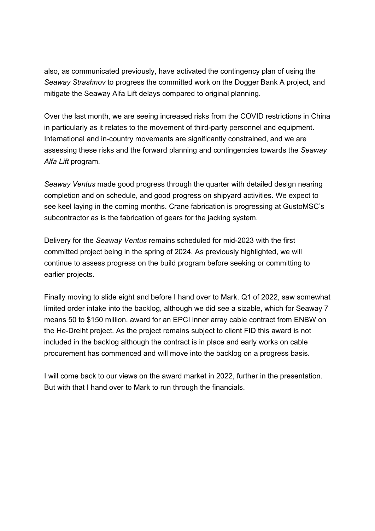also, as communicated previously, have activated the contingency plan of using the *Seaway Strashnov* to progress the committed work on the Dogger Bank A project, and mitigate the Seaway Alfa Lift delays compared to original planning.

Over the last month, we are seeing increased risks from the COVID restrictions in China in particularly as it relates to the movement of third-party personnel and equipment. International and in-country movements are significantly constrained, and we are assessing these risks and the forward planning and contingencies towards the *Seaway Alfa Lift* program.

*Seaway Ventus* made good progress through the quarter with detailed design nearing completion and on schedule, and good progress on shipyard activities. We expect to see keel laying in the coming months. Crane fabrication is progressing at GustoMSC's subcontractor as is the fabrication of gears for the jacking system.

Delivery for the *Seaway Ventus* remains scheduled for mid-2023 with the first committed project being in the spring of 2024. As previously highlighted, we will continue to assess progress on the build program before seeking or committing to earlier projects.

Finally moving to slide eight and before I hand over to Mark. Q1 of 2022, saw somewhat limited order intake into the backlog, although we did see a sizable, which for Seaway 7 means 50 to \$150 million, award for an EPCI inner array cable contract from ENBW on the He-Dreiht project. As the project remains subject to client FID this award is not included in the backlog although the contract is in place and early works on cable procurement has commenced and will move into the backlog on a progress basis.

I will come back to our views on the award market in 2022, further in the presentation. But with that I hand over to Mark to run through the financials.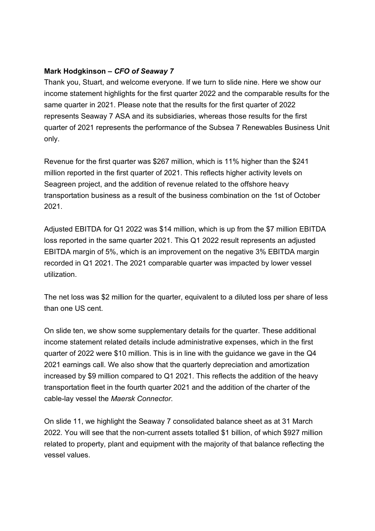# **Mark Hodgkinson –** *CFO of Seaway 7*

Thank you, Stuart, and welcome everyone. If we turn to slide nine. Here we show our income statement highlights for the first quarter 2022 and the comparable results for the same quarter in 2021. Please note that the results for the first quarter of 2022 represents Seaway 7 ASA and its subsidiaries, whereas those results for the first quarter of 2021 represents the performance of the Subsea 7 Renewables Business Unit only.

Revenue for the first quarter was \$267 million, which is 11% higher than the \$241 million reported in the first quarter of 2021. This reflects higher activity levels on Seagreen project, and the addition of revenue related to the offshore heavy transportation business as a result of the business combination on the 1st of October 2021.

Adjusted EBITDA for Q1 2022 was \$14 million, which is up from the \$7 million EBITDA loss reported in the same quarter 2021. This Q1 2022 result represents an adjusted EBITDA margin of 5%, which is an improvement on the negative 3% EBITDA margin recorded in Q1 2021. The 2021 comparable quarter was impacted by lower vessel utilization.

The net loss was \$2 million for the quarter, equivalent to a diluted loss per share of less than one US cent.

On slide ten, we show some supplementary details for the quarter. These additional income statement related details include administrative expenses, which in the first quarter of 2022 were \$10 million. This is in line with the guidance we gave in the Q4 2021 earnings call. We also show that the quarterly depreciation and amortization increased by \$9 million compared to Q1 2021. This reflects the addition of the heavy transportation fleet in the fourth quarter 2021 and the addition of the charter of the cable-lay vessel the *Maersk Connector*.

On slide 11, we highlight the Seaway 7 consolidated balance sheet as at 31 March 2022. You will see that the non-current assets totalled \$1 billion, of which \$927 million related to property, plant and equipment with the majority of that balance reflecting the vessel values.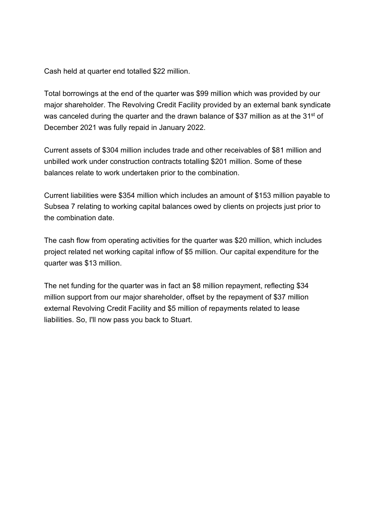Cash held at quarter end totalled \$22 million.

Total borrowings at the end of the quarter was \$99 million which was provided by our major shareholder. The Revolving Credit Facility provided by an external bank syndicate was canceled during the quarter and the drawn balance of \$37 million as at the 31<sup>st</sup> of December 2021 was fully repaid in January 2022.

Current assets of \$304 million includes trade and other receivables of \$81 million and unbilled work under construction contracts totalling \$201 million. Some of these balances relate to work undertaken prior to the combination.

Current liabilities were \$354 million which includes an amount of \$153 million payable to Subsea 7 relating to working capital balances owed by clients on projects just prior to the combination date.

The cash flow from operating activities for the quarter was \$20 million, which includes project related net working capital inflow of \$5 million. Our capital expenditure for the quarter was \$13 million.

The net funding for the quarter was in fact an \$8 million repayment, reflecting \$34 million support from our major shareholder, offset by the repayment of \$37 million external Revolving Credit Facility and \$5 million of repayments related to lease liabilities. So, I'll now pass you back to Stuart.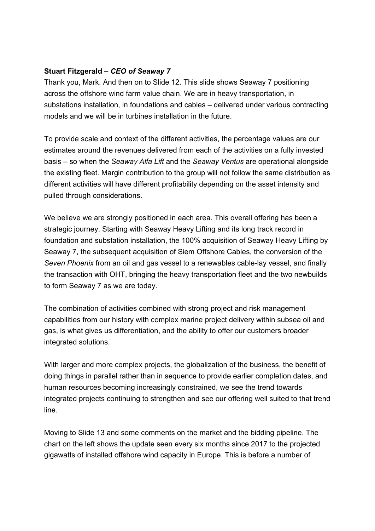# **Stuart Fitzgerald –** *CEO of Seaway 7*

Thank you, Mark. And then on to Slide 12. This slide shows Seaway 7 positioning across the offshore wind farm value chain. We are in heavy transportation, in substations installation, in foundations and cables – delivered under various contracting models and we will be in turbines installation in the future.

To provide scale and context of the different activities, the percentage values are our estimates around the revenues delivered from each of the activities on a fully invested basis – so when the *Seaway Alfa Lift* and the *Seaway Ventus* are operational alongside the existing fleet. Margin contribution to the group will not follow the same distribution as different activities will have different profitability depending on the asset intensity and pulled through considerations.

We believe we are strongly positioned in each area. This overall offering has been a strategic journey. Starting with Seaway Heavy Lifting and its long track record in foundation and substation installation, the 100% acquisition of Seaway Heavy Lifting by Seaway 7, the subsequent acquisition of Siem Offshore Cables, the conversion of the *Seven Phoenix* from an oil and gas vessel to a renewables cable-lay vessel, and finally the transaction with OHT, bringing the heavy transportation fleet and the two newbuilds to form Seaway 7 as we are today.

The combination of activities combined with strong project and risk management capabilities from our history with complex marine project delivery within subsea oil and gas, is what gives us differentiation, and the ability to offer our customers broader integrated solutions.

With larger and more complex projects, the globalization of the business, the benefit of doing things in parallel rather than in sequence to provide earlier completion dates, and human resources becoming increasingly constrained, we see the trend towards integrated projects continuing to strengthen and see our offering well suited to that trend line.

Moving to Slide 13 and some comments on the market and the bidding pipeline. The chart on the left shows the update seen every six months since 2017 to the projected gigawatts of installed offshore wind capacity in Europe. This is before a number of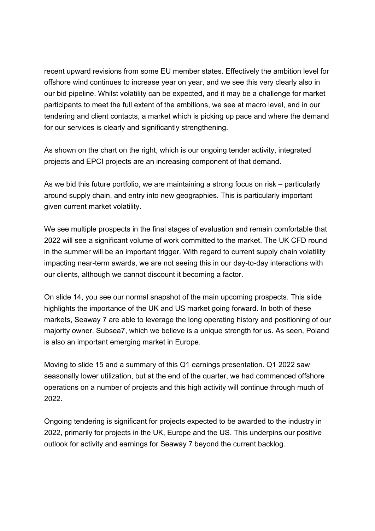recent upward revisions from some EU member states. Effectively the ambition level for offshore wind continues to increase year on year, and we see this very clearly also in our bid pipeline. Whilst volatility can be expected, and it may be a challenge for market participants to meet the full extent of the ambitions, we see at macro level, and in our tendering and client contacts, a market which is picking up pace and where the demand for our services is clearly and significantly strengthening.

As shown on the chart on the right, which is our ongoing tender activity, integrated projects and EPCI projects are an increasing component of that demand.

As we bid this future portfolio, we are maintaining a strong focus on risk – particularly around supply chain, and entry into new geographies. This is particularly important given current market volatility.

We see multiple prospects in the final stages of evaluation and remain comfortable that 2022 will see a significant volume of work committed to the market. The UK CFD round in the summer will be an important trigger. With regard to current supply chain volatility impacting near-term awards, we are not seeing this in our day-to-day interactions with our clients, although we cannot discount it becoming a factor.

On slide 14, you see our normal snapshot of the main upcoming prospects. This slide highlights the importance of the UK and US market going forward. In both of these markets, Seaway 7 are able to leverage the long operating history and positioning of our majority owner, Subsea7, which we believe is a unique strength for us. As seen, Poland is also an important emerging market in Europe.

Moving to slide 15 and a summary of this Q1 earnings presentation. Q1 2022 saw seasonally lower utilization, but at the end of the quarter, we had commenced offshore operations on a number of projects and this high activity will continue through much of 2022.

Ongoing tendering is significant for projects expected to be awarded to the industry in 2022, primarily for projects in the UK, Europe and the US. This underpins our positive outlook for activity and earnings for Seaway 7 beyond the current backlog.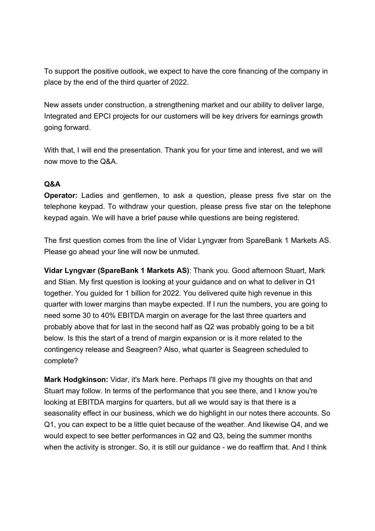To support the positive outlook, we expect to have the core financing of the company in place by the end of the third quarter of 2022.

New assets under construction, a strengthening market and our ability to deliver large, Integrated and EPCI projects for our customers will be key drivers for earnings growth going forward.

With that, I will end the presentation. Thank you for your time and interest, and we will now move to the Q&A.

# **Q&A**

**Operator:** Ladies and gentlemen, to ask a question, please press five star on the telephone keypad. To withdraw your question, please press five star on the telephone keypad again. We will have a brief pause while questions are being registered.

The first question comes from the line of Vidar Lyngvær from SpareBank 1 Markets AS. Please go ahead your line will now be unmuted.

**Vidar Lyngvær (SpareBank 1 Markets AS)**: Thank you. Good afternoon Stuart, Mark and Stian. My first question is looking at your guidance and on what to deliver in Q1 together. You guided for 1 billion for 2022. You delivered quite high revenue in this quarter with lower margins than maybe expected. If I run the numbers, you are going to need some 30 to 40% EBITDA margin on average for the last three quarters and probably above that for last in the second half as Q2 was probably going to be a bit below. Is this the start of a trend of margin expansion or is it more related to the contingency release and Seagreen? Also, what quarter is Seagreen scheduled to complete?

**Mark Hodgkinson:** Vidar, it's Mark here. Perhaps I'll give my thoughts on that and Stuart may follow. In terms of the performance that you see there, and I know you're looking at EBITDA margins for quarters, but all we would say is that there is a seasonality effect in our business, which we do highlight in our notes there accounts. So Q1, you can expect to be a little quiet because of the weather. And likewise Q4, and we would expect to see better performances in Q2 and Q3, being the summer months when the activity is stronger. So, it is still our guidance - we do reaffirm that. And I think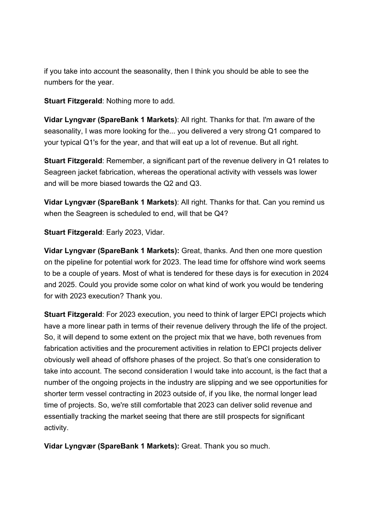if you take into account the seasonality, then I think you should be able to see the numbers for the year.

**Stuart Fitzgerald**: Nothing more to add.

**Vidar Lyngvær (SpareBank 1 Markets)**: All right. Thanks for that. I'm aware of the seasonality, I was more looking for the... you delivered a very strong Q1 compared to your typical Q1's for the year, and that will eat up a lot of revenue. But all right.

**Stuart Fitzgerald**: Remember, a significant part of the revenue delivery in Q1 relates to Seagreen jacket fabrication, whereas the operational activity with vessels was lower and will be more biased towards the Q2 and Q3.

**Vidar Lyngvær (SpareBank 1 Markets)**: All right. Thanks for that. Can you remind us when the Seagreen is scheduled to end, will that be Q4?

**Stuart Fitzgerald**: Early 2023, Vidar.

**Vidar Lyngvær (SpareBank 1 Markets):** Great, thanks. And then one more question on the pipeline for potential work for 2023. The lead time for offshore wind work seems to be a couple of years. Most of what is tendered for these days is for execution in 2024 and 2025. Could you provide some color on what kind of work you would be tendering for with 2023 execution? Thank you.

**Stuart Fitzgerald**: For 2023 execution, you need to think of larger EPCI projects which have a more linear path in terms of their revenue delivery through the life of the project. So, it will depend to some extent on the project mix that we have, both revenues from fabrication activities and the procurement activities in relation to EPCI projects deliver obviously well ahead of offshore phases of the project. So that's one consideration to take into account. The second consideration I would take into account, is the fact that a number of the ongoing projects in the industry are slipping and we see opportunities for shorter term vessel contracting in 2023 outside of, if you like, the normal longer lead time of projects. So, we're still comfortable that 2023 can deliver solid revenue and essentially tracking the market seeing that there are still prospects for significant activity.

**Vidar Lyngvær (SpareBank 1 Markets):** Great. Thank you so much.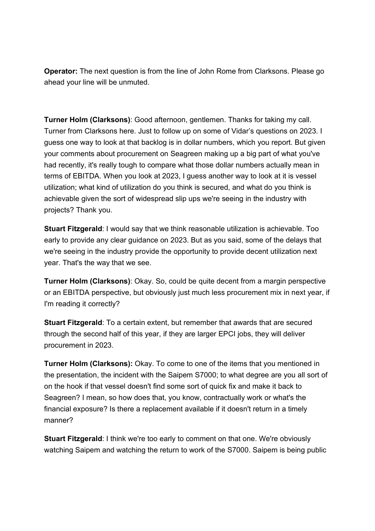**Operator:** The next question is from the line of John Rome from Clarksons. Please go ahead your line will be unmuted.

**Turner Holm (Clarksons)**: Good afternoon, gentlemen. Thanks for taking my call. Turner from Clarksons here. Just to follow up on some of Vidar's questions on 2023. I guess one way to look at that backlog is in dollar numbers, which you report. But given your comments about procurement on Seagreen making up a big part of what you've had recently, it's really tough to compare what those dollar numbers actually mean in terms of EBITDA. When you look at 2023, I guess another way to look at it is vessel utilization; what kind of utilization do you think is secured, and what do you think is achievable given the sort of widespread slip ups we're seeing in the industry with projects? Thank you.

**Stuart Fitzgerald**: I would say that we think reasonable utilization is achievable. Too early to provide any clear guidance on 2023. But as you said, some of the delays that we're seeing in the industry provide the opportunity to provide decent utilization next year. That's the way that we see.

**Turner Holm (Clarksons)**: Okay. So, could be quite decent from a margin perspective or an EBITDA perspective, but obviously just much less procurement mix in next year, if I'm reading it correctly?

**Stuart Fitzgerald**: To a certain extent, but remember that awards that are secured through the second half of this year, if they are larger EPCI jobs, they will deliver procurement in 2023.

**Turner Holm (Clarksons):** Okay. To come to one of the items that you mentioned in the presentation, the incident with the Saipem S7000; to what degree are you all sort of on the hook if that vessel doesn't find some sort of quick fix and make it back to Seagreen? I mean, so how does that, you know, contractually work or what's the financial exposure? Is there a replacement available if it doesn't return in a timely manner?

**Stuart Fitzgerald**: I think we're too early to comment on that one. We're obviously watching Saipem and watching the return to work of the S7000. Saipem is being public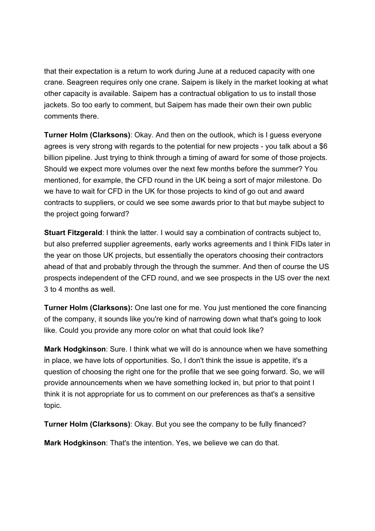that their expectation is a return to work during June at a reduced capacity with one crane. Seagreen requires only one crane. Saipem is likely in the market looking at what other capacity is available. Saipem has a contractual obligation to us to install those jackets. So too early to comment, but Saipem has made their own their own public comments there.

**Turner Holm (Clarksons)**: Okay. And then on the outlook, which is I guess everyone agrees is very strong with regards to the potential for new projects - you talk about a \$6 billion pipeline. Just trying to think through a timing of award for some of those projects. Should we expect more volumes over the next few months before the summer? You mentioned, for example, the CFD round in the UK being a sort of major milestone. Do we have to wait for CFD in the UK for those projects to kind of go out and award contracts to suppliers, or could we see some awards prior to that but maybe subject to the project going forward?

**Stuart Fitzgerald**: I think the latter. I would say a combination of contracts subject to, but also preferred supplier agreements, early works agreements and I think FIDs later in the year on those UK projects, but essentially the operators choosing their contractors ahead of that and probably through the through the summer. And then of course the US prospects independent of the CFD round, and we see prospects in the US over the next 3 to 4 months as well.

**Turner Holm (Clarksons):** One last one for me. You just mentioned the core financing of the company, it sounds like you're kind of narrowing down what that's going to look like. Could you provide any more color on what that could look like?

**Mark Hodgkinson**: Sure. I think what we will do is announce when we have something in place, we have lots of opportunities. So, I don't think the issue is appetite, it's a question of choosing the right one for the profile that we see going forward. So, we will provide announcements when we have something locked in, but prior to that point I think it is not appropriate for us to comment on our preferences as that's a sensitive topic.

**Turner Holm (Clarksons)**: Okay. But you see the company to be fully financed?

**Mark Hodgkinson**: That's the intention. Yes, we believe we can do that.